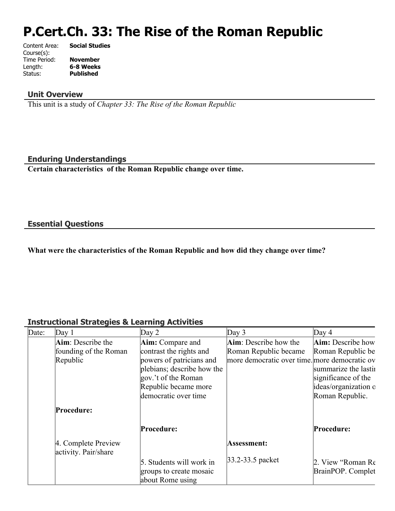# **P.Cert.Ch. 33: The Rise of the Roman Republic**

| Content Area: | <b>Social Studies</b> |
|---------------|-----------------------|
| Course(s):    |                       |
| Time Period:  | <b>November</b>       |
| Length:       | 6-8 Weeks             |
| Status:       | <b>Published</b>      |
|               |                       |

#### **Unit Overview**

This unit is a study of *Chapter 33: The Rise of the Roman Republic*

#### **Enduring Understandings**

**Certain characteristics of the Roman Republic change over time.**

#### **Essential Questions**

**What were the characteristics of the Roman Republic and how did they change over time?**

#### **Instructional Strategies & Learning Activities**

| Date: | Day 1                                       | Day $2$                    | Day $3$                                       | Day $4$                  |
|-------|---------------------------------------------|----------------------------|-----------------------------------------------|--------------------------|
|       | <b>Aim</b> : Describe the                   | Aim: Compare and           | <b>Aim</b> : Describe how the                 | <b>Aim:</b> Describe how |
|       | founding of the Roman                       | contrast the rights and    | Roman Republic became                         | Roman Republic be        |
|       | Republic                                    | powers of patricians and   | more democratic over time. more democratic ov |                          |
|       |                                             | plebians; describe how the |                                               | summarize the lastin     |
|       |                                             | $gov$ .'t of the Roman     |                                               | significance of the      |
|       |                                             | Republic became more       |                                               | ideas/organization c     |
|       |                                             | democratic over time       |                                               | Roman Republic.          |
|       | Procedure:                                  |                            |                                               |                          |
|       |                                             | Procedure:                 |                                               | Procedure:               |
|       | 4. Complete Preview<br>activity. Pair/share |                            | Assessment:                                   |                          |
|       |                                             | 5. Students will work in   | 33.2-33.5 packet                              | 2. View "Roman $Re$      |
|       |                                             | groups to create mosaic    |                                               | BrainPOP. Complet        |
|       |                                             | about Rome using           |                                               |                          |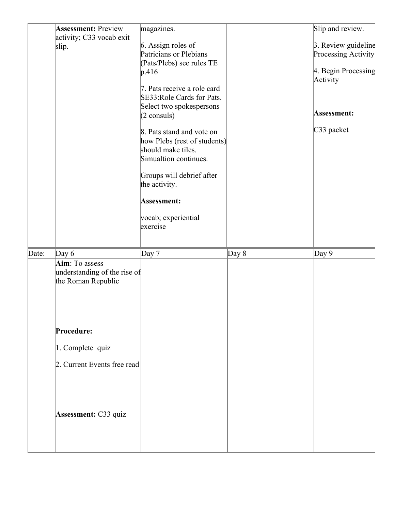|                    | <b>Assessment: Preview</b>   | magazines.                                                                                               |       | Slip and review.                |
|--------------------|------------------------------|----------------------------------------------------------------------------------------------------------|-------|---------------------------------|
|                    | activity; C33 vocab exit     |                                                                                                          |       | 3. Review guideline             |
| slip.              |                              | $6.$ Assign roles of<br>Patricians or Plebians                                                           |       | Processing Activity             |
|                    |                              | (Pats/Plebs) see rules TE                                                                                |       |                                 |
|                    |                              | p.416                                                                                                    |       | 4. Begin Processing<br>Activity |
|                    |                              | 7. Pats receive a role card                                                                              |       |                                 |
|                    |                              | SE33: Role Cards for Pats.                                                                               |       |                                 |
|                    |                              | Select two spokespersons                                                                                 |       |                                 |
|                    |                              | $(2$ consuls)                                                                                            |       | Assessment:                     |
|                    |                              | 8. Pats stand and vote on<br>how Plebs (rest of students)<br>should make tiles.<br>Simualtion continues. |       | C33 packet                      |
|                    |                              | Groups will debrief after                                                                                |       |                                 |
|                    |                              | the activity.                                                                                            |       |                                 |
|                    |                              | Assessment:                                                                                              |       |                                 |
|                    |                              | vocab; experiential                                                                                      |       |                                 |
|                    |                              | exercise                                                                                                 |       |                                 |
|                    |                              |                                                                                                          |       |                                 |
|                    |                              |                                                                                                          |       |                                 |
| Day 6<br>Date:     |                              | Day $7$                                                                                                  | Day 8 | Day $9$                         |
| Aim: To assess     |                              |                                                                                                          |       |                                 |
|                    | understanding of the rise of |                                                                                                          |       |                                 |
| the Roman Republic |                              |                                                                                                          |       |                                 |
|                    |                              |                                                                                                          |       |                                 |
|                    |                              |                                                                                                          |       |                                 |
|                    |                              |                                                                                                          |       |                                 |
| Procedure:         |                              |                                                                                                          |       |                                 |
| 1. Complete quiz   |                              |                                                                                                          |       |                                 |
|                    | 2. Current Events free read  |                                                                                                          |       |                                 |
|                    |                              |                                                                                                          |       |                                 |
|                    |                              |                                                                                                          |       |                                 |
|                    |                              |                                                                                                          |       |                                 |
|                    |                              |                                                                                                          |       |                                 |
|                    | Assessment: C33 quiz         |                                                                                                          |       |                                 |
|                    |                              |                                                                                                          |       |                                 |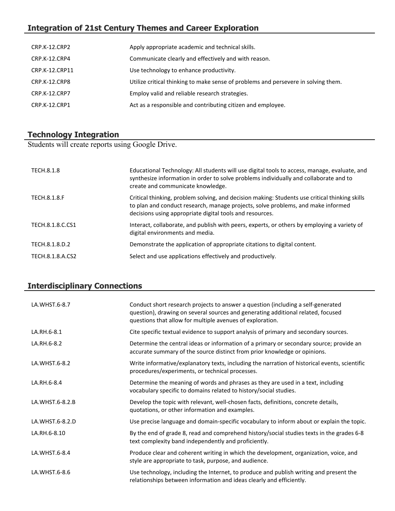# **Integration of 21st Century Themes and Career Exploration**

| CRP.K-12.CRP2  | Apply appropriate academic and technical skills.                                   |
|----------------|------------------------------------------------------------------------------------|
| CRP.K-12.CRP4  | Communicate clearly and effectively and with reason.                               |
| CRP.K-12.CRP11 | Use technology to enhance productivity.                                            |
| CRP.K-12.CRP8  | Utilize critical thinking to make sense of problems and persevere in solving them. |
| CRP.K-12.CRP7  | Employ valid and reliable research strategies.                                     |
| CRP.K-12.CRP1  | Act as a responsible and contributing citizen and employee.                        |
|                |                                                                                    |

## **Technology Integration**

Students will create reports using Google Drive.

| TECH.8.1.8       | Educational Technology: All students will use digital tools to access, manage, evaluate, and<br>synthesize information in order to solve problems individually and collaborate and to<br>create and communicate knowledge.                     |
|------------------|------------------------------------------------------------------------------------------------------------------------------------------------------------------------------------------------------------------------------------------------|
| TECH.8.1.8.F     | Critical thinking, problem solving, and decision making: Students use critical thinking skills<br>to plan and conduct research, manage projects, solve problems, and make informed<br>decisions using appropriate digital tools and resources. |
| TECH.8.1.8.C.CS1 | Interact, collaborate, and publish with peers, experts, or others by employing a variety of<br>digital environments and media.                                                                                                                 |
| TECH.8.1.8.D.2   | Demonstrate the application of appropriate citations to digital content.                                                                                                                                                                       |
| TECH.8.1.8.A.CS2 | Select and use applications effectively and productively.                                                                                                                                                                                      |

# **Interdisciplinary Connections**

| LA.WHST.6-8.7   | Conduct short research projects to answer a question (including a self-generated<br>question), drawing on several sources and generating additional related, focused<br>questions that allow for multiple avenues of exploration. |
|-----------------|-----------------------------------------------------------------------------------------------------------------------------------------------------------------------------------------------------------------------------------|
| LA.RH.6-8.1     | Cite specific textual evidence to support analysis of primary and secondary sources.                                                                                                                                              |
| LA.RH.6-8.2     | Determine the central ideas or information of a primary or secondary source; provide an<br>accurate summary of the source distinct from prior knowledge or opinions.                                                              |
| LA.WHST.6-8.2   | Write informative/explanatory texts, including the narration of historical events, scientific<br>procedures/experiments, or technical processes.                                                                                  |
| LA.RH.6-8.4     | Determine the meaning of words and phrases as they are used in a text, including<br>vocabulary specific to domains related to history/social studies.                                                                             |
| LA.WHST.6-8.2.B | Develop the topic with relevant, well-chosen facts, definitions, concrete details,<br>quotations, or other information and examples.                                                                                              |
| LA.WHST.6-8.2.D | Use precise language and domain-specific vocabulary to inform about or explain the topic.                                                                                                                                         |
| LA.RH.6-8.10    | By the end of grade 8, read and comprehend history/social studies texts in the grades 6-8<br>text complexity band independently and proficiently.                                                                                 |
| LA.WHST.6-8.4   | Produce clear and coherent writing in which the development, organization, voice, and<br>style are appropriate to task, purpose, and audience.                                                                                    |
| LA.WHST.6-8.6   | Use technology, including the Internet, to produce and publish writing and present the<br>relationships between information and ideas clearly and efficiently.                                                                    |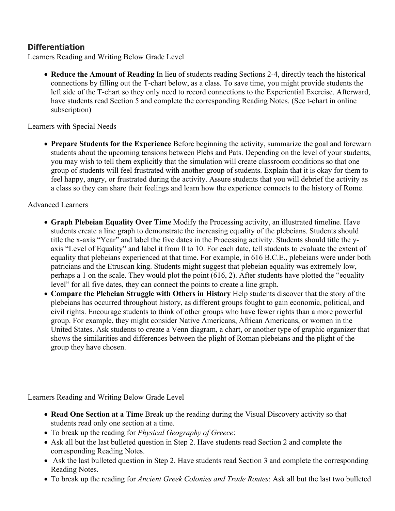#### **Differentiation**

Learners Reading and Writing Below Grade Level

 **Reduce the Amount of Reading** In lieu of students reading Sections 2-4, directly teach the historical connections by filling out the T-chart below, as a class. To save time, you might provide students the left side of the T-chart so they only need to record connections to the Experiential Exercise. Afterward, have students read Section 5 and complete the corresponding Reading Notes. (See t-chart in online subscription)

Learners with Special Needs

 **Prepare Students for the Experience** Before beginning the activity, summarize the goal and forewarn students about the upcoming tensions between Plebs and Pats. Depending on the level of your students, you may wish to tell them explicitly that the simulation will create classroom conditions so that one group of students will feel frustrated with another group of students. Explain that it is okay for them to feel happy, angry, or frustrated during the activity. Assure students that you will debrief the activity as a class so they can share their feelings and learn how the experience connects to the history of Rome.

#### Advanced Learners

- **Graph Plebeian Equality Over Time** Modify the Processing activity, an illustrated timeline. Have students create a line graph to demonstrate the increasing equality of the plebeians. Students should title the x-axis "Year" and label the five dates in the Processing activity. Students should title the yaxis "Level of Equality" and label it from 0 to 10. For each date, tell students to evaluate the extent of equality that plebeians experienced at that time. For example, in 616 B.C.E., plebeians were under both patricians and the Etruscan king. Students might suggest that plebeian equality was extremely low, perhaps a 1 on the scale. They would plot the point (616, 2). After students have plotted the "equality level" for all five dates, they can connect the points to create a line graph.
- **Compare the Plebeian Struggle with Others in History** Help students discover that the story of the plebeians has occurred throughout history, as different groups fought to gain economic, political, and civil rights. Encourage students to think of other groups who have fewer rights than a more powerful group. For example, they might consider Native Americans, African Americans, or women in the United States. Ask students to create a Venn diagram, a chart, or another type of graphic organizer that shows the similarities and differences between the plight of Roman plebeians and the plight of the group they have chosen.

Learners Reading and Writing Below Grade Level

- **Read One Section at a Time** Break up the reading during the Visual Discovery activity so that students read only one section at a time.
- To break up the reading for *Physical Geography of Greece*:
- Ask all but the last bulleted question in Step 2. Have students read Section 2 and complete the corresponding Reading Notes.
- Ask the last bulleted question in Step 2. Have students read Section 3 and complete the corresponding Reading Notes.
- To break up the reading for *Ancient Greek Colonies and Trade Routes*: Ask all but the last two bulleted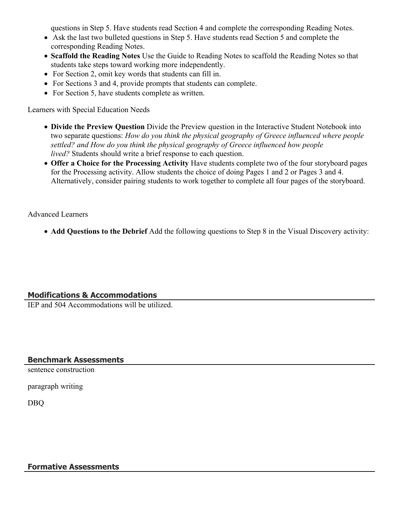questions in Step 5. Have students read Section 4 and complete the corresponding Reading Notes.

- Ask the last two bulleted questions in Step 5. Have students read Section 5 and complete the corresponding Reading Notes.
- **Scaffold the Reading Notes** Use the Guide to Reading Notes to scaffold the Reading Notes so that students take steps toward working more independently.
- For Section 2, omit key words that students can fill in.
- For Sections 3 and 4, provide prompts that students can complete.
- For Section 5, have students complete as written.

Learners with Special Education Needs

- **Divide the Preview Question** Divide the Preview question in the Interactive Student Notebook into two separate questions: *How do you think the physical geography of Greece influenced where people settled? and How do you think the physical geography of Greece influenced how people lived?* Students should write a brief response to each question.
- **Offer a Choice for the Processing Activity** Have students complete two of the four storyboard pages for the Processing activity. Allow students the choice of doing Pages 1 and 2 or Pages 3 and 4. Alternatively, consider pairing students to work together to complete all four pages of the storyboard.

Advanced Learners

**Add Questions to the Debrief** Add the following questions to Step 8 in the Visual Discovery activity:

#### **Modifications & Accommodations**

IEP and 504 Accommodations will be utilized.

#### **Benchmark Assessments**

sentence construction

paragraph writing

DBQ

## **Formative Assessments**